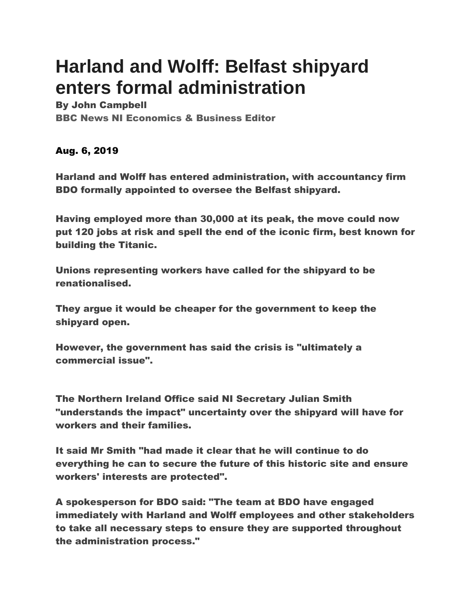## **Harland and Wolff: Belfast shipyard enters formal administration**

By John Campbell BBC News NI Economics & Business Editor

Aug. 6, 2019

Harland and Wolff has entered administration, with accountancy firm BDO formally appointed to oversee the Belfast shipyard.

Having employed more than 30,000 at its peak, the move could now put 120 jobs at risk and spell the end of the iconic firm, best known for building the Titanic.

Unions representing workers have called for the shipyard to be renationalised.

They argue it would be cheaper for the government to keep the shipyard open.

However, the government has said the crisis is "ultimately a commercial issue".

The Northern Ireland Office said NI Secretary Julian Smith "understands the impact" uncertainty over the shipyard will have for workers and their families.

It said Mr Smith "had made it clear that he will continue to do everything he can to secure the future of this historic site and ensure workers' interests are protected".

A spokesperson for BDO said: "The team at BDO have engaged immediately with Harland and Wolff employees and other stakeholders to take all necessary steps to ensure they are supported throughout the administration process."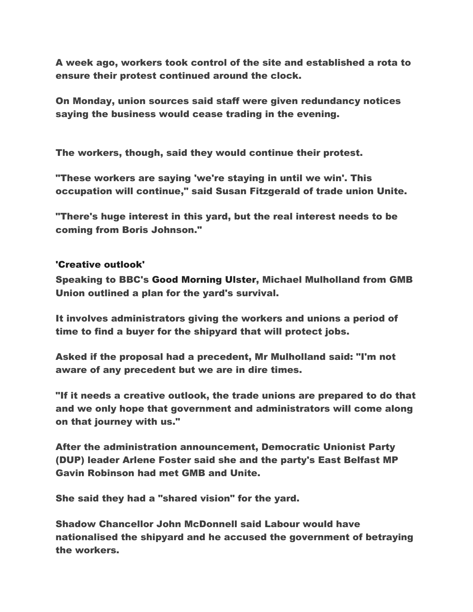A week ago, workers took control of the site and established a rota to ensure their protest continued around the clock.

On Monday, union sources said staff were given redundancy notices saying the business would cease trading in the evening.

The workers, though, said they would continue their protest.

"These workers are saying 'we're staying in until we win'. This occupation will continue," said Susan Fitzgerald of trade union Unite.

"There's huge interest in this yard, but the real interest needs to be coming from Boris Johnson."

## 'Creative outlook'

Speaking to BBC's Good [Morning](https://www.bbc.co.uk/programmes/b007cps5) Ulster, Michael Mulholland from GMB Union outlined a plan for the yard's survival.

It involves administrators giving the workers and unions a period of time to find a buyer for the shipyard that will protect jobs.

Asked if the proposal had a precedent, Mr Mulholland said: "I'm not aware of any precedent but we are in dire times.

"If it needs a creative outlook, the trade unions are prepared to do that and we only hope that government and administrators will come along on that journey with us."

After the administration announcement, Democratic Unionist Party (DUP) leader Arlene Foster said she and the party's East Belfast MP Gavin Robinson had met GMB and Unite.

She said they had a "shared vision" for the yard.

Shadow Chancellor John McDonnell said Labour would have nationalised the shipyard and he accused the government of betraying the workers.